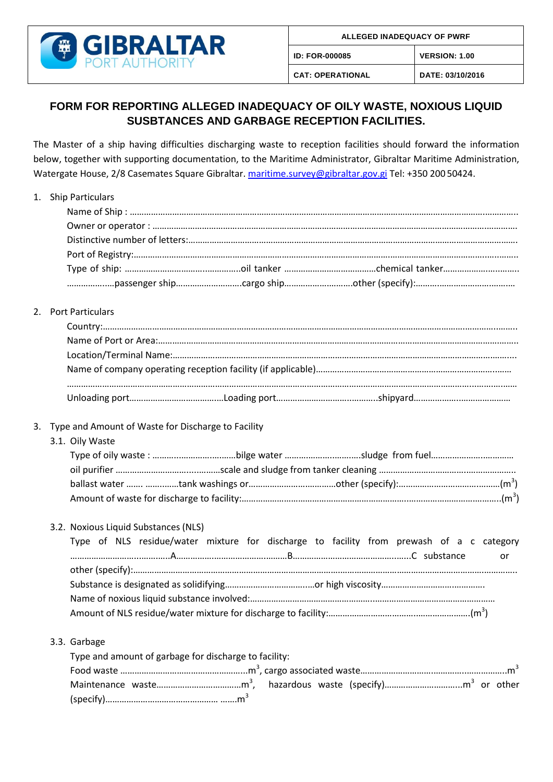

(specify)………………………………………… …….m<sup>3</sup>

**ID: FOR-000085 VERSION: 1.00**

**CAT: OPERATIONAL DATE: 03/10/2016**

## **FORM FOR REPORTING ALLEGED INADEQUACY OF OILY WASTE, NOXIOUS LIQUID SUSBTANCES AND GARBAGE RECEPTION FACILITIES.**

The Master of a ship having difficulties discharging waste to reception facilities should forward the information below, together with supporting documentation, to the Maritime Administrator, Gibraltar Maritime Administration, Watergate House, 2/8 Casemates Square Gibraltar. [maritime.survey@gibraltar.gov.gi](mailto:maritime.survey@gibraltar.gov.gi) Tel: +350 200 50424.

|    | 1. Ship Particulars                                                                                                                    |
|----|----------------------------------------------------------------------------------------------------------------------------------------|
|    | 2. Port Particulars                                                                                                                    |
|    |                                                                                                                                        |
| 3. | Type and Amount of Waste for Discharge to Facility<br>3.1. Oily Waste                                                                  |
|    | 3.2. Noxious Liquid Substances (NLS)<br>Type of NLS residue/water mixture for discharge to facility from prewash of a c category<br>or |
|    | 3.3. Garbage<br>Type and amount of garbage for discharge to facility:                                                                  |